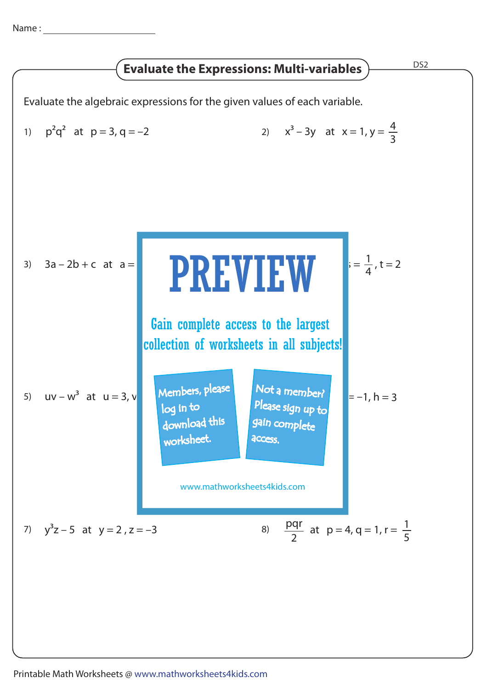